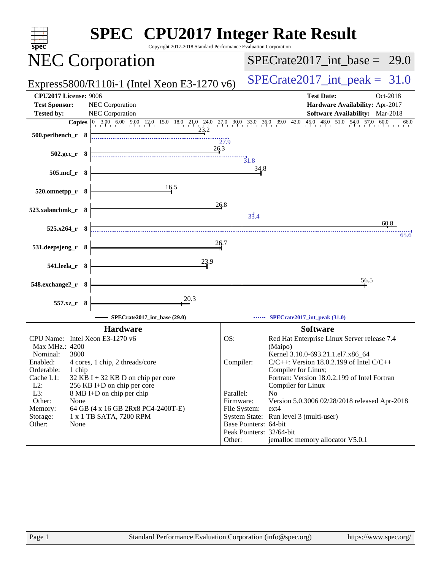| spec                                                                                                                                                                                                                                                                                                                                                                                                       | <b>SPEC<sup>®</sup></b> CPU2017 Integer Rate Result<br>Copyright 2017-2018 Standard Performance Evaluation Corporation                                                                                                                                                                                                                                                                                                                                                                                                              |
|------------------------------------------------------------------------------------------------------------------------------------------------------------------------------------------------------------------------------------------------------------------------------------------------------------------------------------------------------------------------------------------------------------|-------------------------------------------------------------------------------------------------------------------------------------------------------------------------------------------------------------------------------------------------------------------------------------------------------------------------------------------------------------------------------------------------------------------------------------------------------------------------------------------------------------------------------------|
| <b>NEC Corporation</b>                                                                                                                                                                                                                                                                                                                                                                                     | $SPECTate2017\_int\_base = 29.0$                                                                                                                                                                                                                                                                                                                                                                                                                                                                                                    |
| Express5800/R110i-1 (Intel Xeon E3-1270 v6)                                                                                                                                                                                                                                                                                                                                                                | $SPECTate2017\_int\_peak = 31.0$                                                                                                                                                                                                                                                                                                                                                                                                                                                                                                    |
| <b>CPU2017 License: 9006</b><br><b>Test Sponsor:</b><br><b>NEC Corporation</b><br><b>Tested by:</b><br>NEC Corporation                                                                                                                                                                                                                                                                                     | <b>Test Date:</b><br>Oct-2018<br>Hardware Availability: Apr-2017<br><b>Software Availability:</b> Mar-2018                                                                                                                                                                                                                                                                                                                                                                                                                          |
|                                                                                                                                                                                                                                                                                                                                                                                                            | $45.0$ $48.0$ $51.0$ $54.0$ $57.0$<br>$33.0$ $36.0$ $39.0$ $42.0$<br>60.0<br>66.0                                                                                                                                                                                                                                                                                                                                                                                                                                                   |
| <b>Copies</b> $\begin{bmatrix} 0 & 3.00 & 6.00 & 9.00 & 12.0 & 15.0 & 18.0 & 21.0 & 24.0 & 27.0 & 30.0 \\ 0 & 0 & 0 & 0 & 12.0 & 15.0 & 18.0 & 21.0 & 27.0 & 30.0 \\ 0 & 0 & 0 & 0 & 0 & 0 & 23.2 & 1 \end{bmatrix}$<br>$500.$ perlbench r $8$                                                                                                                                                             | 27.9                                                                                                                                                                                                                                                                                                                                                                                                                                                                                                                                |
| 26.3<br>$502.\text{gcc r}$ 8                                                                                                                                                                                                                                                                                                                                                                               | $\frac{1}{31.8}$                                                                                                                                                                                                                                                                                                                                                                                                                                                                                                                    |
| 505.mcf_r 8                                                                                                                                                                                                                                                                                                                                                                                                | 34.8                                                                                                                                                                                                                                                                                                                                                                                                                                                                                                                                |
| 16.5<br>520.omnetpp_r 8                                                                                                                                                                                                                                                                                                                                                                                    | 26.8                                                                                                                                                                                                                                                                                                                                                                                                                                                                                                                                |
| 523.xalancbmk_r 8                                                                                                                                                                                                                                                                                                                                                                                          | 33.4<br>60.8                                                                                                                                                                                                                                                                                                                                                                                                                                                                                                                        |
| $525.x264$ r 8                                                                                                                                                                                                                                                                                                                                                                                             | 65.6                                                                                                                                                                                                                                                                                                                                                                                                                                                                                                                                |
| 531.deepsjeng_r 8                                                                                                                                                                                                                                                                                                                                                                                          | 26.7                                                                                                                                                                                                                                                                                                                                                                                                                                                                                                                                |
| 23.9<br>541.leela_r 8                                                                                                                                                                                                                                                                                                                                                                                      |                                                                                                                                                                                                                                                                                                                                                                                                                                                                                                                                     |
| 548.exchange2_r 8                                                                                                                                                                                                                                                                                                                                                                                          | 56.5                                                                                                                                                                                                                                                                                                                                                                                                                                                                                                                                |
| 20.3<br>557.xz_r 8                                                                                                                                                                                                                                                                                                                                                                                         |                                                                                                                                                                                                                                                                                                                                                                                                                                                                                                                                     |
| SPECrate2017 int base (29.0)                                                                                                                                                                                                                                                                                                                                                                               | SPECrate2017_int_peak (31.0)                                                                                                                                                                                                                                                                                                                                                                                                                                                                                                        |
| <b>Hardware</b>                                                                                                                                                                                                                                                                                                                                                                                            | <b>Software</b>                                                                                                                                                                                                                                                                                                                                                                                                                                                                                                                     |
| CPU Name: Intel Xeon E3-1270 v6<br>Max MHz.: 4200<br>3800<br>Nominal:<br>Enabled:<br>4 cores, 1 chip, 2 threads/core<br>Orderable:<br>1 chip<br>Cache L1:<br>$32$ KB I + 32 KB D on chip per core<br>$L2$ :<br>256 KB I+D on chip per core<br>L3:<br>8 MB I+D on chip per chip<br>Other:<br>None<br>Memory:<br>64 GB (4 x 16 GB 2Rx8 PC4-2400T-E)<br>1 x 1 TB SATA, 7200 RPM<br>Storage:<br>Other:<br>None | OS:<br>Red Hat Enterprise Linux Server release 7.4<br>(Maipo)<br>Kernel 3.10.0-693.21.1.el7.x86_64<br>Compiler:<br>$C/C++$ : Version 18.0.2.199 of Intel $C/C++$<br>Compiler for Linux;<br>Fortran: Version 18.0.2.199 of Intel Fortran<br>Compiler for Linux<br>Parallel:<br>N <sub>0</sub><br>Firmware:<br>Version 5.0.3006 02/28/2018 released Apr-2018<br>File System:<br>$ext{4}$<br>System State: Run level 3 (multi-user)<br>Base Pointers: 64-bit<br>Peak Pointers: 32/64-bit<br>jemalloc memory allocator V5.0.1<br>Other: |
| Page 1                                                                                                                                                                                                                                                                                                                                                                                                     | Standard Performance Evaluation Corporation (info@spec.org)<br>https://www.spec.org/                                                                                                                                                                                                                                                                                                                                                                                                                                                |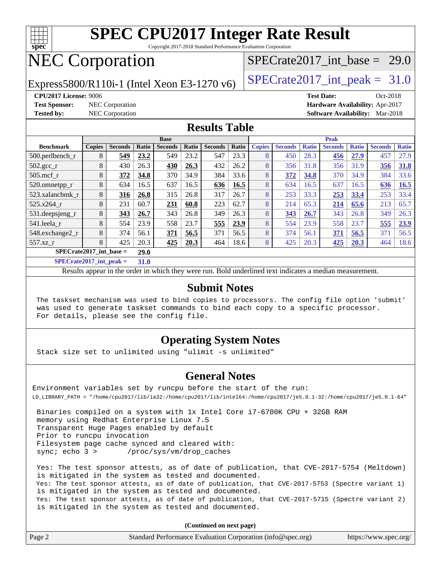

Copyright 2017-2018 Standard Performance Evaluation Corporation

## NEC Corporation

Express5800/R110i-1 (Intel Xeon E3-1270 v6)  $\vert$  [SPECrate2017\\_int\\_peak =](http://www.spec.org/auto/cpu2017/Docs/result-fields.html#SPECrate2017intpeak) 31.0

SPECrate2017 int\_base =  $29.0$ 

**[Test Sponsor:](http://www.spec.org/auto/cpu2017/Docs/result-fields.html#TestSponsor)** NEC Corporation **[Hardware Availability:](http://www.spec.org/auto/cpu2017/Docs/result-fields.html#HardwareAvailability)** Apr-2017

**[CPU2017 License:](http://www.spec.org/auto/cpu2017/Docs/result-fields.html#CPU2017License)** 9006 **[Test Date:](http://www.spec.org/auto/cpu2017/Docs/result-fields.html#TestDate)** Oct-2018 **[Tested by:](http://www.spec.org/auto/cpu2017/Docs/result-fields.html#Testedby)** NEC Corporation **[Software Availability:](http://www.spec.org/auto/cpu2017/Docs/result-fields.html#SoftwareAvailability)** Mar-2018

#### **[Results Table](http://www.spec.org/auto/cpu2017/Docs/result-fields.html#ResultsTable)**

| <b>Base</b>                                      |               |                |       |                |       | <b>Peak</b>    |       |               |                |              |                |              |                |              |
|--------------------------------------------------|---------------|----------------|-------|----------------|-------|----------------|-------|---------------|----------------|--------------|----------------|--------------|----------------|--------------|
| <b>Benchmark</b>                                 | <b>Copies</b> | <b>Seconds</b> | Ratio | <b>Seconds</b> | Ratio | <b>Seconds</b> | Ratio | <b>Copies</b> | <b>Seconds</b> | <b>Ratio</b> | <b>Seconds</b> | <b>Ratio</b> | <b>Seconds</b> | <b>Ratio</b> |
| 500.perlbench_r                                  | 8             | 549            | 23.2  | 549            | 23.2  | 547            | 23.3  | 8             | 450            | 28.3         | 456            | 27.9         | 457            | 27.9         |
| $502.\text{gcc}$ <sub>r</sub>                    | 8             | 430            | 26.3  | 430            | 26.3  | 432            | 26.2  | 8             | 356            | 31.8         | 356            | 31.9         | 356            | 31.8         |
| $505$ .mcf r                                     | 8             | 372            | 34.8  | 370            | 34.9  | 384            | 33.6  | 8             | 372            | 34.8         | 370            | 34.9         | 384            | 33.6         |
| 520.omnetpp_r                                    | 8             | 634            | 16.5  | 637            | 16.5  | 636            | 16.5  | 8             | 634            | 16.5         | 637            | 16.5         | 636            | 16.5         |
| 523.xalancbmk r                                  | 8             | 316            | 26.8  | 315            | 26.8  | 317            | 26.7  | 8             | 253            | 33.3         | 253            | 33.4         | 253            | 33.4         |
| 525.x264 r                                       | 8             | 231            | 60.7  | 231            | 60.8  | 223            | 62.7  | 8             | 214            | 65.3         | 214            | 65.6         | 213            | 65.7         |
| 531.deepsjeng_r                                  | 8             | 343            | 26.7  | 343            | 26.8  | 349            | 26.3  | 8             | 343            | 26.7         | 343            | 26.8         | 349            | 26.3         |
| 541.leela r                                      | 8             | 554            | 23.9  | 558            | 23.7  | 555            | 23.9  | 8             | 554            | 23.9         | 558            | 23.7         | 555            | 23.9         |
| 548.exchange2_r                                  | 8             | 374            | 56.1  | 371            | 56.5  | 371            | 56.5  | 8             | 374            | 56.1         | 371            | 56.5         | 371            | 56.5         |
| 557.xz r                                         | 8             | 425            | 20.3  | 425            | 20.3  | 464            | 18.6  | 8             | 425            | 20.3         | 425            | 20.3         | 464            | 18.6         |
| $SPECrate2017$ int base =                        | 29.0          |                |       |                |       |                |       |               |                |              |                |              |                |              |
| $\sim$ $\sim$ $\sim$ $\sim$ $\sim$ $\sim$ $\sim$ |               |                |       |                |       |                |       |               |                |              |                |              |                |              |

**[SPECrate2017\\_int\\_peak =](http://www.spec.org/auto/cpu2017/Docs/result-fields.html#SPECrate2017intpeak) 31.0**

Results appear in the [order in which they were run](http://www.spec.org/auto/cpu2017/Docs/result-fields.html#RunOrder). Bold underlined text [indicates a median measurement](http://www.spec.org/auto/cpu2017/Docs/result-fields.html#Median).

#### **[Submit Notes](http://www.spec.org/auto/cpu2017/Docs/result-fields.html#SubmitNotes)**

 The taskset mechanism was used to bind copies to processors. The config file option 'submit' was used to generate taskset commands to bind each copy to a specific processor. For details, please see the config file.

#### **[Operating System Notes](http://www.spec.org/auto/cpu2017/Docs/result-fields.html#OperatingSystemNotes)**

Stack size set to unlimited using "ulimit -s unlimited"

#### **[General Notes](http://www.spec.org/auto/cpu2017/Docs/result-fields.html#GeneralNotes)**

Environment variables set by runcpu before the start of the run: LD\_LIBRARY\_PATH = "/home/cpu2017/lib/ia32:/home/cpu2017/lib/intel64:/home/cpu2017/je5.0.1-32:/home/cpu2017/je5.0.1-64"

 Binaries compiled on a system with 1x Intel Core i7-6700K CPU + 32GB RAM memory using Redhat Enterprise Linux 7.5 Transparent Huge Pages enabled by default Prior to runcpu invocation Filesystem page cache synced and cleared with: sync; echo 3 > /proc/sys/vm/drop\_caches

 Yes: The test sponsor attests, as of date of publication, that CVE-2017-5754 (Meltdown) is mitigated in the system as tested and documented. Yes: The test sponsor attests, as of date of publication, that CVE-2017-5753 (Spectre variant 1) is mitigated in the system as tested and documented. Yes: The test sponsor attests, as of date of publication, that CVE-2017-5715 (Spectre variant 2) is mitigated in the system as tested and documented.

**(Continued on next page)**

| Page 2<br>Standard Performance Evaluation Corporation (info@spec.org)<br>https://www.spec.org/ |
|------------------------------------------------------------------------------------------------|
|------------------------------------------------------------------------------------------------|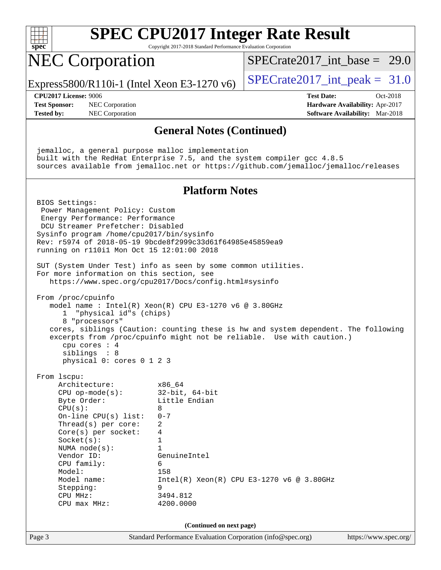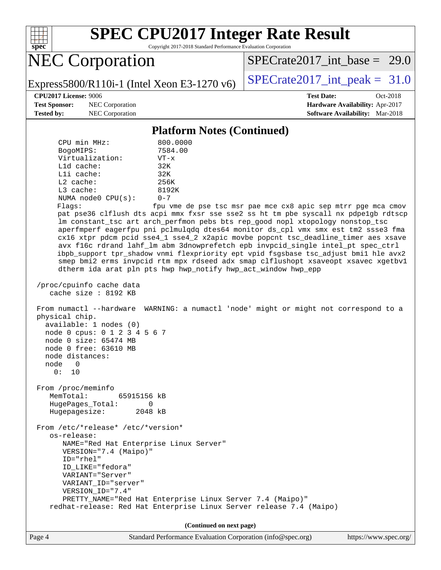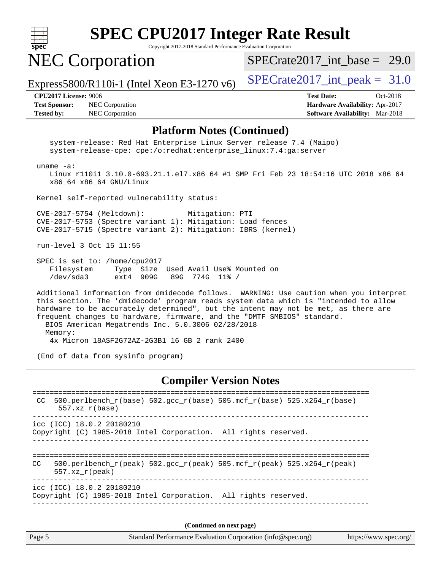

Copyright 2017-2018 Standard Performance Evaluation Corporation

## NEC Corporation

SPECrate2017 int\_base =  $29.0$ 

Express5800/R110i-1 (Intel Xeon E3-1270 v6)  $\vert$  [SPECrate2017\\_int\\_peak =](http://www.spec.org/auto/cpu2017/Docs/result-fields.html#SPECrate2017intpeak) 31.0

**[Test Sponsor:](http://www.spec.org/auto/cpu2017/Docs/result-fields.html#TestSponsor)** NEC Corporation **[Hardware Availability:](http://www.spec.org/auto/cpu2017/Docs/result-fields.html#HardwareAvailability)** Apr-2017 **[Tested by:](http://www.spec.org/auto/cpu2017/Docs/result-fields.html#Testedby)** NEC Corporation **[Software Availability:](http://www.spec.org/auto/cpu2017/Docs/result-fields.html#SoftwareAvailability)** Mar-2018

**[CPU2017 License:](http://www.spec.org/auto/cpu2017/Docs/result-fields.html#CPU2017License)** 9006 **[Test Date:](http://www.spec.org/auto/cpu2017/Docs/result-fields.html#TestDate)** Oct-2018

#### **[Platform Notes \(Continued\)](http://www.spec.org/auto/cpu2017/Docs/result-fields.html#PlatformNotes)**

 system-release: Red Hat Enterprise Linux Server release 7.4 (Maipo) system-release-cpe: cpe:/o:redhat:enterprise\_linux:7.4:ga:server uname -a: Linux r110i1 3.10.0-693.21.1.el7.x86\_64 #1 SMP Fri Feb 23 18:54:16 UTC 2018 x86\_64 x86\_64 x86\_64 GNU/Linux Kernel self-reported vulnerability status: CVE-2017-5754 (Meltdown): Mitigation: PTI CVE-2017-5753 (Spectre variant 1): Mitigation: Load fences CVE-2017-5715 (Spectre variant 2): Mitigation: IBRS (kernel) run-level 3 Oct 15 11:55 SPEC is set to: /home/cpu2017 Filesystem Type Size Used Avail Use% Mounted on /dev/sda3 ext4 909G 89G 774G 11% / Additional information from dmidecode follows. WARNING: Use caution when you interpret this section. The 'dmidecode' program reads system data which is "intended to allow hardware to be accurately determined", but the intent may not be met, as there are frequent changes to hardware, firmware, and the "DMTF SMBIOS" standard. BIOS American Megatrends Inc. 5.0.3006 02/28/2018 Memory: 4x Micron 18ASF2G72AZ-2G3B1 16 GB 2 rank 2400 (End of data from sysinfo program)

#### **[Compiler Version Notes](http://www.spec.org/auto/cpu2017/Docs/result-fields.html#CompilerVersionNotes)**

| CC  | 500.perlbench_r(base) 502.gcc_r(base) 505.mcf_r(base) 525.x264_r(base)<br>$557.xx$ $r(base)$          |  |
|-----|-------------------------------------------------------------------------------------------------------|--|
|     | $\text{icc}$ (ICC) 18.0.2 20180210<br>Copyright (C) 1985-2018 Intel Corporation. All rights reserved. |  |
| CC. | 500.perlbench r(peak) 502.gcc r(peak) 505.mcf r(peak) 525.x264 r(peak)<br>$557.xx$ r(peak)            |  |
|     | icc (ICC) 18.0.2 20180210<br>Copyright (C) 1985-2018 Intel Corporation. All rights reserved.          |  |
|     |                                                                                                       |  |

**(Continued on next page)**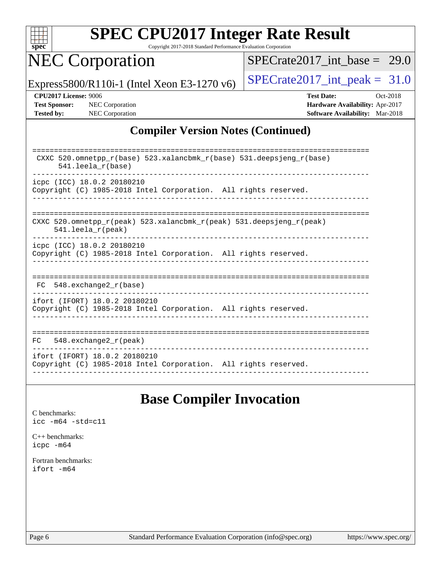

Copyright 2017-2018 Standard Performance Evaluation Corporation

## NEC Corporation

[SPECrate2017\\_int\\_base =](http://www.spec.org/auto/cpu2017/Docs/result-fields.html#SPECrate2017intbase) 29.0

Express5800/R110i-1 (Intel Xeon E3-1270 v6)  $\left|$  [SPECrate2017\\_int\\_peak =](http://www.spec.org/auto/cpu2017/Docs/result-fields.html#SPECrate2017intpeak) 31.0

**[Tested by:](http://www.spec.org/auto/cpu2017/Docs/result-fields.html#Testedby)** NEC Corporation **[Software Availability:](http://www.spec.org/auto/cpu2017/Docs/result-fields.html#SoftwareAvailability)** Mar-2018

**[CPU2017 License:](http://www.spec.org/auto/cpu2017/Docs/result-fields.html#CPU2017License)** 9006 **[Test Date:](http://www.spec.org/auto/cpu2017/Docs/result-fields.html#TestDate)** Oct-2018 **[Test Sponsor:](http://www.spec.org/auto/cpu2017/Docs/result-fields.html#TestSponsor)** NEC Corporation **[Hardware Availability:](http://www.spec.org/auto/cpu2017/Docs/result-fields.html#HardwareAvailability)** Apr-2017

#### **[Compiler Version Notes \(Continued\)](http://www.spec.org/auto/cpu2017/Docs/result-fields.html#CompilerVersionNotes)**

| CXXC 520.omnetpp $r(base)$ 523.xalancbmk $r(base)$ 531.deepsjeng $r(base)$<br>$541.$ leela $r(base)$                       |
|----------------------------------------------------------------------------------------------------------------------------|
| icpc (ICC) 18.0.2 20180210                                                                                                 |
| Copyright (C) 1985-2018 Intel Corporation. All rights reserved.                                                            |
|                                                                                                                            |
|                                                                                                                            |
|                                                                                                                            |
| CXXC 520.omnetpp $r(\text{peak})$ 523.xalancbmk $r(\text{peak})$ 531.deepsjeng $r(\text{peak})$<br>$541.$ leela $r$ (peak) |
| icpc (ICC) 18.0.2 20180210                                                                                                 |
| Copyright (C) 1985-2018 Intel Corporation. All rights reserved.                                                            |
|                                                                                                                            |
|                                                                                                                            |
|                                                                                                                            |
| 548.exchange2 r(base)<br>FC.                                                                                               |
| ifort (IFORT) 18.0.2 20180210                                                                                              |
| Copyright (C) 1985-2018 Intel Corporation. All rights reserved.                                                            |
|                                                                                                                            |
|                                                                                                                            |
|                                                                                                                            |
| 548.exchange2 r(peak)<br>FC.                                                                                               |
| ifort (IFORT) 18.0.2 20180210                                                                                              |
| Copyright (C) 1985-2018 Intel Corporation. All rights reserved.                                                            |
|                                                                                                                            |

### **[Base Compiler Invocation](http://www.spec.org/auto/cpu2017/Docs/result-fields.html#BaseCompilerInvocation)**

[C benchmarks](http://www.spec.org/auto/cpu2017/Docs/result-fields.html#Cbenchmarks): [icc -m64 -std=c11](http://www.spec.org/cpu2017/results/res2018q4/cpu2017-20181016-09243.flags.html#user_CCbase_intel_icc_64bit_c11_33ee0cdaae7deeeab2a9725423ba97205ce30f63b9926c2519791662299b76a0318f32ddfffdc46587804de3178b4f9328c46fa7c2b0cd779d7a61945c91cd35)

[C++ benchmarks:](http://www.spec.org/auto/cpu2017/Docs/result-fields.html#CXXbenchmarks) [icpc -m64](http://www.spec.org/cpu2017/results/res2018q4/cpu2017-20181016-09243.flags.html#user_CXXbase_intel_icpc_64bit_4ecb2543ae3f1412ef961e0650ca070fec7b7afdcd6ed48761b84423119d1bf6bdf5cad15b44d48e7256388bc77273b966e5eb805aefd121eb22e9299b2ec9d9)

[Fortran benchmarks](http://www.spec.org/auto/cpu2017/Docs/result-fields.html#Fortranbenchmarks): [ifort -m64](http://www.spec.org/cpu2017/results/res2018q4/cpu2017-20181016-09243.flags.html#user_FCbase_intel_ifort_64bit_24f2bb282fbaeffd6157abe4f878425411749daecae9a33200eee2bee2fe76f3b89351d69a8130dd5949958ce389cf37ff59a95e7a40d588e8d3a57e0c3fd751)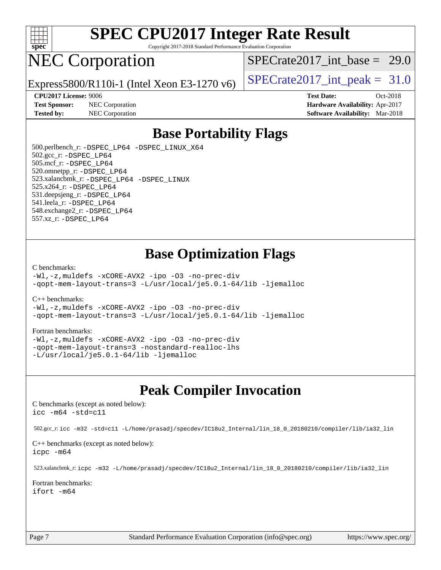

Copyright 2017-2018 Standard Performance Evaluation Corporation

## NEC Corporation

SPECrate2017 int\_base =  $29.0$ 

Express5800/R110i-1 (Intel Xeon E3-1270 v6) [SPECrate2017\\_int\\_peak =](http://www.spec.org/auto/cpu2017/Docs/result-fields.html#SPECrate2017intpeak)  $31.0$ 

**[Test Sponsor:](http://www.spec.org/auto/cpu2017/Docs/result-fields.html#TestSponsor)** NEC Corporation **[Hardware Availability:](http://www.spec.org/auto/cpu2017/Docs/result-fields.html#HardwareAvailability)** Apr-2017

**[CPU2017 License:](http://www.spec.org/auto/cpu2017/Docs/result-fields.html#CPU2017License)** 9006 **[Test Date:](http://www.spec.org/auto/cpu2017/Docs/result-fields.html#TestDate)** Oct-2018 **[Tested by:](http://www.spec.org/auto/cpu2017/Docs/result-fields.html#Testedby)** NEC Corporation **[Software Availability:](http://www.spec.org/auto/cpu2017/Docs/result-fields.html#SoftwareAvailability)** Mar-2018

### **[Base Portability Flags](http://www.spec.org/auto/cpu2017/Docs/result-fields.html#BasePortabilityFlags)**

 500.perlbench\_r: [-DSPEC\\_LP64](http://www.spec.org/cpu2017/results/res2018q4/cpu2017-20181016-09243.flags.html#b500.perlbench_r_basePORTABILITY_DSPEC_LP64) [-DSPEC\\_LINUX\\_X64](http://www.spec.org/cpu2017/results/res2018q4/cpu2017-20181016-09243.flags.html#b500.perlbench_r_baseCPORTABILITY_DSPEC_LINUX_X64) 502.gcc\_r: [-DSPEC\\_LP64](http://www.spec.org/cpu2017/results/res2018q4/cpu2017-20181016-09243.flags.html#suite_basePORTABILITY502_gcc_r_DSPEC_LP64) 505.mcf\_r: [-DSPEC\\_LP64](http://www.spec.org/cpu2017/results/res2018q4/cpu2017-20181016-09243.flags.html#suite_basePORTABILITY505_mcf_r_DSPEC_LP64) 520.omnetpp\_r: [-DSPEC\\_LP64](http://www.spec.org/cpu2017/results/res2018q4/cpu2017-20181016-09243.flags.html#suite_basePORTABILITY520_omnetpp_r_DSPEC_LP64) 523.xalancbmk\_r: [-DSPEC\\_LP64](http://www.spec.org/cpu2017/results/res2018q4/cpu2017-20181016-09243.flags.html#suite_basePORTABILITY523_xalancbmk_r_DSPEC_LP64) [-DSPEC\\_LINUX](http://www.spec.org/cpu2017/results/res2018q4/cpu2017-20181016-09243.flags.html#b523.xalancbmk_r_baseCXXPORTABILITY_DSPEC_LINUX) 525.x264\_r: [-DSPEC\\_LP64](http://www.spec.org/cpu2017/results/res2018q4/cpu2017-20181016-09243.flags.html#suite_basePORTABILITY525_x264_r_DSPEC_LP64) 531.deepsjeng\_r: [-DSPEC\\_LP64](http://www.spec.org/cpu2017/results/res2018q4/cpu2017-20181016-09243.flags.html#suite_basePORTABILITY531_deepsjeng_r_DSPEC_LP64) 541.leela\_r: [-DSPEC\\_LP64](http://www.spec.org/cpu2017/results/res2018q4/cpu2017-20181016-09243.flags.html#suite_basePORTABILITY541_leela_r_DSPEC_LP64) 548.exchange2\_r: [-DSPEC\\_LP64](http://www.spec.org/cpu2017/results/res2018q4/cpu2017-20181016-09243.flags.html#suite_basePORTABILITY548_exchange2_r_DSPEC_LP64) 557.xz\_r: [-DSPEC\\_LP64](http://www.spec.org/cpu2017/results/res2018q4/cpu2017-20181016-09243.flags.html#suite_basePORTABILITY557_xz_r_DSPEC_LP64)

### **[Base Optimization Flags](http://www.spec.org/auto/cpu2017/Docs/result-fields.html#BaseOptimizationFlags)**

#### [C benchmarks](http://www.spec.org/auto/cpu2017/Docs/result-fields.html#Cbenchmarks):

[-Wl,-z,muldefs](http://www.spec.org/cpu2017/results/res2018q4/cpu2017-20181016-09243.flags.html#user_CCbase_link_force_multiple1_b4cbdb97b34bdee9ceefcfe54f4c8ea74255f0b02a4b23e853cdb0e18eb4525ac79b5a88067c842dd0ee6996c24547a27a4b99331201badda8798ef8a743f577) [-xCORE-AVX2](http://www.spec.org/cpu2017/results/res2018q4/cpu2017-20181016-09243.flags.html#user_CCbase_f-xCORE-AVX2) [-ipo](http://www.spec.org/cpu2017/results/res2018q4/cpu2017-20181016-09243.flags.html#user_CCbase_f-ipo) [-O3](http://www.spec.org/cpu2017/results/res2018q4/cpu2017-20181016-09243.flags.html#user_CCbase_f-O3) [-no-prec-div](http://www.spec.org/cpu2017/results/res2018q4/cpu2017-20181016-09243.flags.html#user_CCbase_f-no-prec-div) [-qopt-mem-layout-trans=3](http://www.spec.org/cpu2017/results/res2018q4/cpu2017-20181016-09243.flags.html#user_CCbase_f-qopt-mem-layout-trans_de80db37974c74b1f0e20d883f0b675c88c3b01e9d123adea9b28688d64333345fb62bc4a798493513fdb68f60282f9a726aa07f478b2f7113531aecce732043) [-L/usr/local/je5.0.1-64/lib](http://www.spec.org/cpu2017/results/res2018q4/cpu2017-20181016-09243.flags.html#user_CCbase_jemalloc_link_path64_4b10a636b7bce113509b17f3bd0d6226c5fb2346b9178c2d0232c14f04ab830f976640479e5c33dc2bcbbdad86ecfb6634cbbd4418746f06f368b512fced5394) [-ljemalloc](http://www.spec.org/cpu2017/results/res2018q4/cpu2017-20181016-09243.flags.html#user_CCbase_jemalloc_link_lib_d1249b907c500fa1c0672f44f562e3d0f79738ae9e3c4a9c376d49f265a04b9c99b167ecedbf6711b3085be911c67ff61f150a17b3472be731631ba4d0471706)

#### [C++ benchmarks:](http://www.spec.org/auto/cpu2017/Docs/result-fields.html#CXXbenchmarks)

[-Wl,-z,muldefs](http://www.spec.org/cpu2017/results/res2018q4/cpu2017-20181016-09243.flags.html#user_CXXbase_link_force_multiple1_b4cbdb97b34bdee9ceefcfe54f4c8ea74255f0b02a4b23e853cdb0e18eb4525ac79b5a88067c842dd0ee6996c24547a27a4b99331201badda8798ef8a743f577) [-xCORE-AVX2](http://www.spec.org/cpu2017/results/res2018q4/cpu2017-20181016-09243.flags.html#user_CXXbase_f-xCORE-AVX2) [-ipo](http://www.spec.org/cpu2017/results/res2018q4/cpu2017-20181016-09243.flags.html#user_CXXbase_f-ipo) [-O3](http://www.spec.org/cpu2017/results/res2018q4/cpu2017-20181016-09243.flags.html#user_CXXbase_f-O3) [-no-prec-div](http://www.spec.org/cpu2017/results/res2018q4/cpu2017-20181016-09243.flags.html#user_CXXbase_f-no-prec-div) [-qopt-mem-layout-trans=3](http://www.spec.org/cpu2017/results/res2018q4/cpu2017-20181016-09243.flags.html#user_CXXbase_f-qopt-mem-layout-trans_de80db37974c74b1f0e20d883f0b675c88c3b01e9d123adea9b28688d64333345fb62bc4a798493513fdb68f60282f9a726aa07f478b2f7113531aecce732043) [-L/usr/local/je5.0.1-64/lib](http://www.spec.org/cpu2017/results/res2018q4/cpu2017-20181016-09243.flags.html#user_CXXbase_jemalloc_link_path64_4b10a636b7bce113509b17f3bd0d6226c5fb2346b9178c2d0232c14f04ab830f976640479e5c33dc2bcbbdad86ecfb6634cbbd4418746f06f368b512fced5394) [-ljemalloc](http://www.spec.org/cpu2017/results/res2018q4/cpu2017-20181016-09243.flags.html#user_CXXbase_jemalloc_link_lib_d1249b907c500fa1c0672f44f562e3d0f79738ae9e3c4a9c376d49f265a04b9c99b167ecedbf6711b3085be911c67ff61f150a17b3472be731631ba4d0471706)

#### [Fortran benchmarks](http://www.spec.org/auto/cpu2017/Docs/result-fields.html#Fortranbenchmarks):

[-Wl,-z,muldefs](http://www.spec.org/cpu2017/results/res2018q4/cpu2017-20181016-09243.flags.html#user_FCbase_link_force_multiple1_b4cbdb97b34bdee9ceefcfe54f4c8ea74255f0b02a4b23e853cdb0e18eb4525ac79b5a88067c842dd0ee6996c24547a27a4b99331201badda8798ef8a743f577) [-xCORE-AVX2](http://www.spec.org/cpu2017/results/res2018q4/cpu2017-20181016-09243.flags.html#user_FCbase_f-xCORE-AVX2) [-ipo](http://www.spec.org/cpu2017/results/res2018q4/cpu2017-20181016-09243.flags.html#user_FCbase_f-ipo) [-O3](http://www.spec.org/cpu2017/results/res2018q4/cpu2017-20181016-09243.flags.html#user_FCbase_f-O3) [-no-prec-div](http://www.spec.org/cpu2017/results/res2018q4/cpu2017-20181016-09243.flags.html#user_FCbase_f-no-prec-div) [-qopt-mem-layout-trans=3](http://www.spec.org/cpu2017/results/res2018q4/cpu2017-20181016-09243.flags.html#user_FCbase_f-qopt-mem-layout-trans_de80db37974c74b1f0e20d883f0b675c88c3b01e9d123adea9b28688d64333345fb62bc4a798493513fdb68f60282f9a726aa07f478b2f7113531aecce732043) [-nostandard-realloc-lhs](http://www.spec.org/cpu2017/results/res2018q4/cpu2017-20181016-09243.flags.html#user_FCbase_f_2003_std_realloc_82b4557e90729c0f113870c07e44d33d6f5a304b4f63d4c15d2d0f1fab99f5daaed73bdb9275d9ae411527f28b936061aa8b9c8f2d63842963b95c9dd6426b8a) [-L/usr/local/je5.0.1-64/lib](http://www.spec.org/cpu2017/results/res2018q4/cpu2017-20181016-09243.flags.html#user_FCbase_jemalloc_link_path64_4b10a636b7bce113509b17f3bd0d6226c5fb2346b9178c2d0232c14f04ab830f976640479e5c33dc2bcbbdad86ecfb6634cbbd4418746f06f368b512fced5394) [-ljemalloc](http://www.spec.org/cpu2017/results/res2018q4/cpu2017-20181016-09243.flags.html#user_FCbase_jemalloc_link_lib_d1249b907c500fa1c0672f44f562e3d0f79738ae9e3c4a9c376d49f265a04b9c99b167ecedbf6711b3085be911c67ff61f150a17b3472be731631ba4d0471706)

#### **[Peak Compiler Invocation](http://www.spec.org/auto/cpu2017/Docs/result-fields.html#PeakCompilerInvocation)**

[C benchmarks \(except as noted below\)](http://www.spec.org/auto/cpu2017/Docs/result-fields.html#Cbenchmarksexceptasnotedbelow): [icc -m64 -std=c11](http://www.spec.org/cpu2017/results/res2018q4/cpu2017-20181016-09243.flags.html#user_CCpeak_intel_icc_64bit_c11_33ee0cdaae7deeeab2a9725423ba97205ce30f63b9926c2519791662299b76a0318f32ddfffdc46587804de3178b4f9328c46fa7c2b0cd779d7a61945c91cd35)

502.gcc\_r: [icc -m32 -std=c11 -L/home/prasadj/specdev/IC18u2\\_Internal/lin\\_18\\_0\\_20180210/compiler/lib/ia32\\_lin](http://www.spec.org/cpu2017/results/res2018q4/cpu2017-20181016-09243.flags.html#user_peakCCLD502_gcc_r_intel_icc_a481ac844e7127046fad14d498c730a1848fa901fbbb2c3dfdd5e9fbbac777c8009953946d55d8b6afe8ed0da70dd2b4f8dedbdf7ab1ee211ba70d24a5d89f85)

[C++ benchmarks \(except as noted below\):](http://www.spec.org/auto/cpu2017/Docs/result-fields.html#CXXbenchmarksexceptasnotedbelow) [icpc -m64](http://www.spec.org/cpu2017/results/res2018q4/cpu2017-20181016-09243.flags.html#user_CXXpeak_intel_icpc_64bit_4ecb2543ae3f1412ef961e0650ca070fec7b7afdcd6ed48761b84423119d1bf6bdf5cad15b44d48e7256388bc77273b966e5eb805aefd121eb22e9299b2ec9d9)

523.xalancbmk\_r: [icpc -m32 -L/home/prasadj/specdev/IC18u2\\_Internal/lin\\_18\\_0\\_20180210/compiler/lib/ia32\\_lin](http://www.spec.org/cpu2017/results/res2018q4/cpu2017-20181016-09243.flags.html#user_peakCXXLD523_xalancbmk_r_intel_icpc_c6d030cd79af6ea7d6fb64c57e8fe7ae8fe0b96fc5a3b3f4a10e3273b3d7fa9decd8263f6330cef23f751cb093a69fae84a2bf4c243500a8eed069248128076f)

[Fortran benchmarks](http://www.spec.org/auto/cpu2017/Docs/result-fields.html#Fortranbenchmarks): [ifort -m64](http://www.spec.org/cpu2017/results/res2018q4/cpu2017-20181016-09243.flags.html#user_FCpeak_intel_ifort_64bit_24f2bb282fbaeffd6157abe4f878425411749daecae9a33200eee2bee2fe76f3b89351d69a8130dd5949958ce389cf37ff59a95e7a40d588e8d3a57e0c3fd751)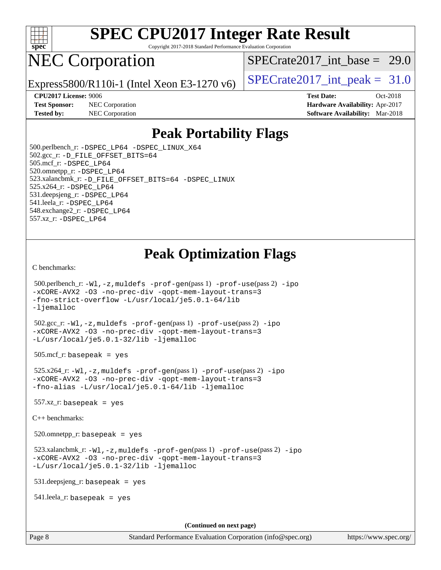

Copyright 2017-2018 Standard Performance Evaluation Corporation

## NEC Corporation

SPECrate2017 int\_base =  $29.0$ 

Express5800/R110i-1 (Intel Xeon E3-1270 v6) [SPECrate2017\\_int\\_peak =](http://www.spec.org/auto/cpu2017/Docs/result-fields.html#SPECrate2017intpeak)  $31.0$ 

**[Test Sponsor:](http://www.spec.org/auto/cpu2017/Docs/result-fields.html#TestSponsor)** NEC Corporation **[Hardware Availability:](http://www.spec.org/auto/cpu2017/Docs/result-fields.html#HardwareAvailability)** Apr-2017 **[Tested by:](http://www.spec.org/auto/cpu2017/Docs/result-fields.html#Testedby)** NEC Corporation **[Software Availability:](http://www.spec.org/auto/cpu2017/Docs/result-fields.html#SoftwareAvailability)** Mar-2018

**[CPU2017 License:](http://www.spec.org/auto/cpu2017/Docs/result-fields.html#CPU2017License)** 9006 **[Test Date:](http://www.spec.org/auto/cpu2017/Docs/result-fields.html#TestDate)** Oct-2018

### **[Peak Portability Flags](http://www.spec.org/auto/cpu2017/Docs/result-fields.html#PeakPortabilityFlags)**

 500.perlbench\_r: [-DSPEC\\_LP64](http://www.spec.org/cpu2017/results/res2018q4/cpu2017-20181016-09243.flags.html#b500.perlbench_r_peakPORTABILITY_DSPEC_LP64) [-DSPEC\\_LINUX\\_X64](http://www.spec.org/cpu2017/results/res2018q4/cpu2017-20181016-09243.flags.html#b500.perlbench_r_peakCPORTABILITY_DSPEC_LINUX_X64) 502.gcc\_r: [-D\\_FILE\\_OFFSET\\_BITS=64](http://www.spec.org/cpu2017/results/res2018q4/cpu2017-20181016-09243.flags.html#user_peakPORTABILITY502_gcc_r_file_offset_bits_64_5ae949a99b284ddf4e95728d47cb0843d81b2eb0e18bdfe74bbf0f61d0b064f4bda2f10ea5eb90e1dcab0e84dbc592acfc5018bc955c18609f94ddb8d550002c) 505.mcf\_r: [-DSPEC\\_LP64](http://www.spec.org/cpu2017/results/res2018q4/cpu2017-20181016-09243.flags.html#suite_peakPORTABILITY505_mcf_r_DSPEC_LP64) 520.omnetpp\_r: [-DSPEC\\_LP64](http://www.spec.org/cpu2017/results/res2018q4/cpu2017-20181016-09243.flags.html#suite_peakPORTABILITY520_omnetpp_r_DSPEC_LP64) 523.xalancbmk\_r: [-D\\_FILE\\_OFFSET\\_BITS=64](http://www.spec.org/cpu2017/results/res2018q4/cpu2017-20181016-09243.flags.html#user_peakPORTABILITY523_xalancbmk_r_file_offset_bits_64_5ae949a99b284ddf4e95728d47cb0843d81b2eb0e18bdfe74bbf0f61d0b064f4bda2f10ea5eb90e1dcab0e84dbc592acfc5018bc955c18609f94ddb8d550002c) [-DSPEC\\_LINUX](http://www.spec.org/cpu2017/results/res2018q4/cpu2017-20181016-09243.flags.html#b523.xalancbmk_r_peakCXXPORTABILITY_DSPEC_LINUX) 525.x264\_r: [-DSPEC\\_LP64](http://www.spec.org/cpu2017/results/res2018q4/cpu2017-20181016-09243.flags.html#suite_peakPORTABILITY525_x264_r_DSPEC_LP64) 531.deepsjeng\_r: [-DSPEC\\_LP64](http://www.spec.org/cpu2017/results/res2018q4/cpu2017-20181016-09243.flags.html#suite_peakPORTABILITY531_deepsjeng_r_DSPEC_LP64) 541.leela\_r: [-DSPEC\\_LP64](http://www.spec.org/cpu2017/results/res2018q4/cpu2017-20181016-09243.flags.html#suite_peakPORTABILITY541_leela_r_DSPEC_LP64) 548.exchange2\_r: [-DSPEC\\_LP64](http://www.spec.org/cpu2017/results/res2018q4/cpu2017-20181016-09243.flags.html#suite_peakPORTABILITY548_exchange2_r_DSPEC_LP64) 557.xz\_r: [-DSPEC\\_LP64](http://www.spec.org/cpu2017/results/res2018q4/cpu2017-20181016-09243.flags.html#suite_peakPORTABILITY557_xz_r_DSPEC_LP64)

## **[Peak Optimization Flags](http://www.spec.org/auto/cpu2017/Docs/result-fields.html#PeakOptimizationFlags)**

[C benchmarks](http://www.spec.org/auto/cpu2017/Docs/result-fields.html#Cbenchmarks):

```
 500.perlbench_r: -Wl,-z,muldefs -prof-gen(pass 1) -prof-use(pass 2) -ipo
-xCORE-AVX2 -O3 -no-prec-div -qopt-mem-layout-trans=3
-fno-strict-overflow -L/usr/local/je5.0.1-64/lib
-ljemalloc
 502.gcc_r: -Wl,-z,muldefs -prof-gen(pass 1) -prof-use(pass 2) -ipo
-xCORE-AVX2 -O3 -no-prec-div -qopt-mem-layout-trans=3
-L/usr/local/je5.0.1-32/lib -ljemalloc
 505.mcf_r: basepeak = yes
 525.x264_r: -Wl,-z,muldefs -prof-gen(pass 1) -prof-use(pass 2) -ipo
-xCORE-AVX2 -O3 -no-prec-div -qopt-mem-layout-trans=3
-fno-alias -L/usr/local/je5.0.1-64/lib -ljemalloc
557.xz r: basepeak = yes
C++ benchmarks: 
 520.omnetpp_r: basepeak = yes
 523.xalancbmk_r: -Wl,-z,muldefs -prof-gen(pass 1) -prof-use(pass 2) -ipo
-xCORE-AVX2 -O3 -no-prec-div -qopt-mem-layout-trans=3
-L/usr/local/je5.0.1-32/lib -ljemalloc
 531.deepsjeng_r: basepeak = yes
 541.leela_r: basepeak = yes
                                       (Continued on next page)
```